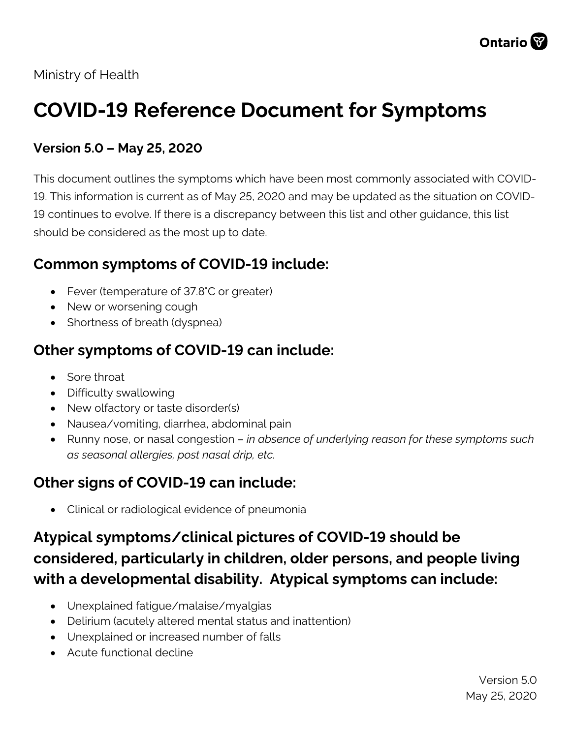

Ministry of Health

# **COVID-19 Reference Document for Symptoms**

#### **Version 5.0 – May 25, 2020**

This document outlines the symptoms which have been most commonly associated with COVID-19. This information is current as of May 25, 2020 and may be updated as the situation on COVID-19 continues to evolve. If there is a discrepancy between this list and other guidance, this list should be considered as the most up to date.

## **Common symptoms of COVID-19 include:**

- Fever (temperature of 37.8°C or greater)
- New or worsening cough
- Shortness of breath (dyspnea)

# **Other symptoms of COVID-19 can include:**

- Sore throat
- Difficulty swallowing
- New olfactory or taste disorder(s)
- Nausea/vomiting, diarrhea, abdominal pain
- Runny nose, or nasal congestion *in absence of underlying reason for these symptoms such as seasonal allergies, post nasal drip, etc.*

### **Other signs of COVID-19 can include:**

• Clinical or radiological evidence of pneumonia

# **Atypical symptoms/clinical pictures of COVID-19 should be considered, particularly in children, older persons, and people living with a developmental disability. Atypical symptoms can include:**

- Unexplained fatigue/malaise/myalgias
- Delirium (acutely altered mental status and inattention)
- Unexplained or increased number of falls
- Acute functional decline